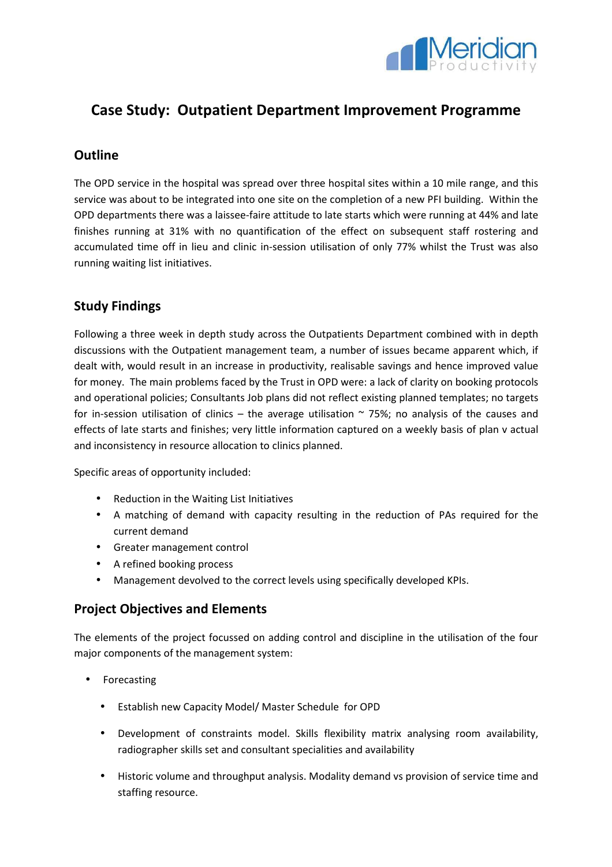

# **Case Study: Outpatient Department Improvement Programme**

#### **Outline**

The OPD service in the hospital was spread over three hospital sites within a 10 mile range, and this service was about to be integrated into one site on the completion of a new PFI building. Within the OPD departments there was a laissee-faire attitude to late starts which were running at 44% and late finishes running at 31% with no quantification of the effect on subsequent staff rostering and accumulated time off in lieu and clinic in-session utilisation of only 77% whilst the Trust was also running waiting list initiatives.

## **Study Findings**

Following a three week in depth study across the Outpatients Department combined with in depth discussions with the Outpatient management team, a number of issues became apparent which, if dealt with, would result in an increase in productivity, realisable savings and hence improved value for money. The main problems faced by the Trust in OPD were: a lack of clarity on booking protocols and operational policies; Consultants Job plans did not reflect existing planned templates; no targets for in-session utilisation of clinics – the average utilisation  $\sim$  75%; no analysis of the causes and effects of late starts and finishes; very little information captured on a weekly basis of plan v actual and inconsistency in resource allocation to clinics planned.

Specific areas of opportunity included:

- Reduction in the Waiting List Initiatives
- A matching of demand with capacity resulting in the reduction of PAs required for the current demand
- Greater management control
- A refined booking process
- Management devolved to the correct levels using specifically developed KPIs.

#### **Project Objectives and Elements**

The elements of the project focussed on adding control and discipline in the utilisation of the four major components of the management system:

- Forecasting
	- Establish new Capacity Model/ Master Schedule for OPD
	- Development of constraints model. Skills flexibility matrix analysing room availability, radiographer skills set and consultant specialities and availability
	- Historic volume and throughput analysis. Modality demand vs provision of service time and staffing resource.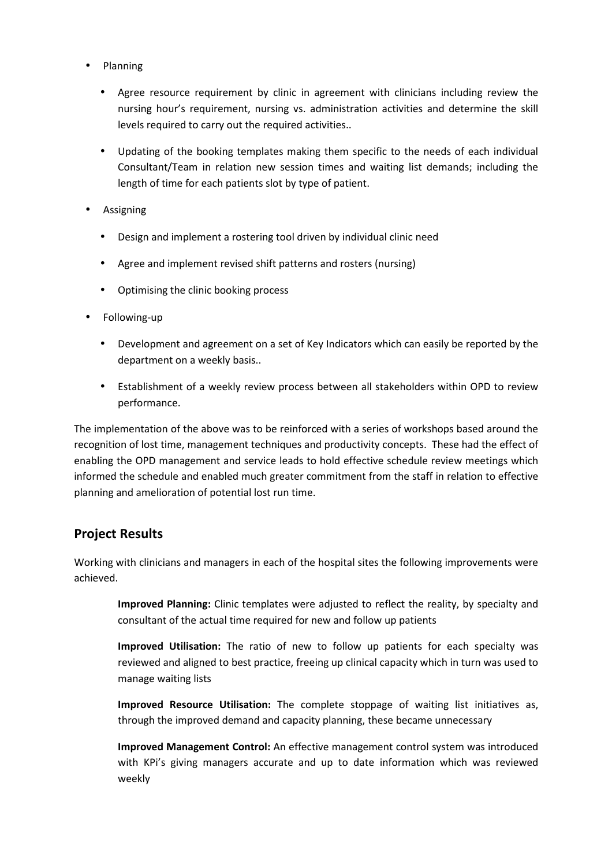- Planning
	- Agree resource requirement by clinic in agreement with clinicians including review the nursing hour's requirement, nursing vs. administration activities and determine the skill levels required to carry out the required activities..
	- Updating of the booking templates making them specific to the needs of each individual Consultant/Team in relation new session times and waiting list demands; including the length of time for each patients slot by type of patient.
- Assigning
	- Design and implement a rostering tool driven by individual clinic need
	- Agree and implement revised shift patterns and rosters (nursing)
	- Optimising the clinic booking process
- Following-up
	- Development and agreement on a set of Key Indicators which can easily be reported by the department on a weekly basis..
	- Establishment of a weekly review process between all stakeholders within OPD to review performance.

The implementation of the above was to be reinforced with a series of workshops based around the recognition of lost time, management techniques and productivity concepts. These had the effect of enabling the OPD management and service leads to hold effective schedule review meetings which informed the schedule and enabled much greater commitment from the staff in relation to effective planning and amelioration of potential lost run time.

## **Project Results**

Working with clinicians and managers in each of the hospital sites the following improvements were achieved.

**Improved Planning:** Clinic templates were adjusted to reflect the reality, by specialty and consultant of the actual time required for new and follow up patients

**Improved Utilisation:** The ratio of new to follow up patients for each specialty was reviewed and aligned to best practice, freeing up clinical capacity which in turn was used to manage waiting lists

**Improved Resource Utilisation:** The complete stoppage of waiting list initiatives as, through the improved demand and capacity planning, these became unnecessary

**Improved Management Control:** An effective management control system was introduced with KPi's giving managers accurate and up to date information which was reviewed weekly